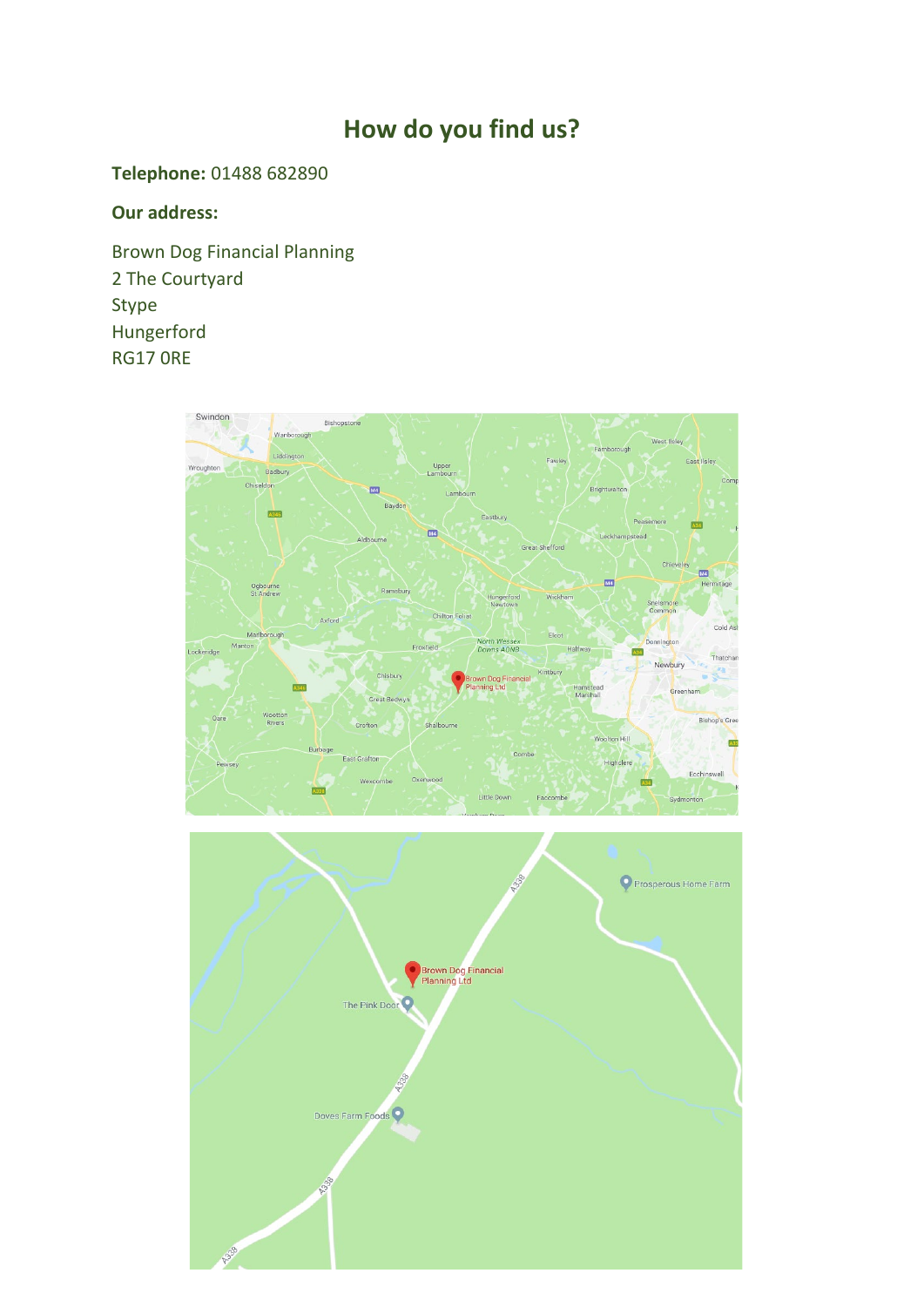## **How do you find us?**

## **Telephone:** 01488 682890

## **Our address:**

Brown Dog Financial Planning 2 The Courtyard Stype Hungerford RG17 0RE

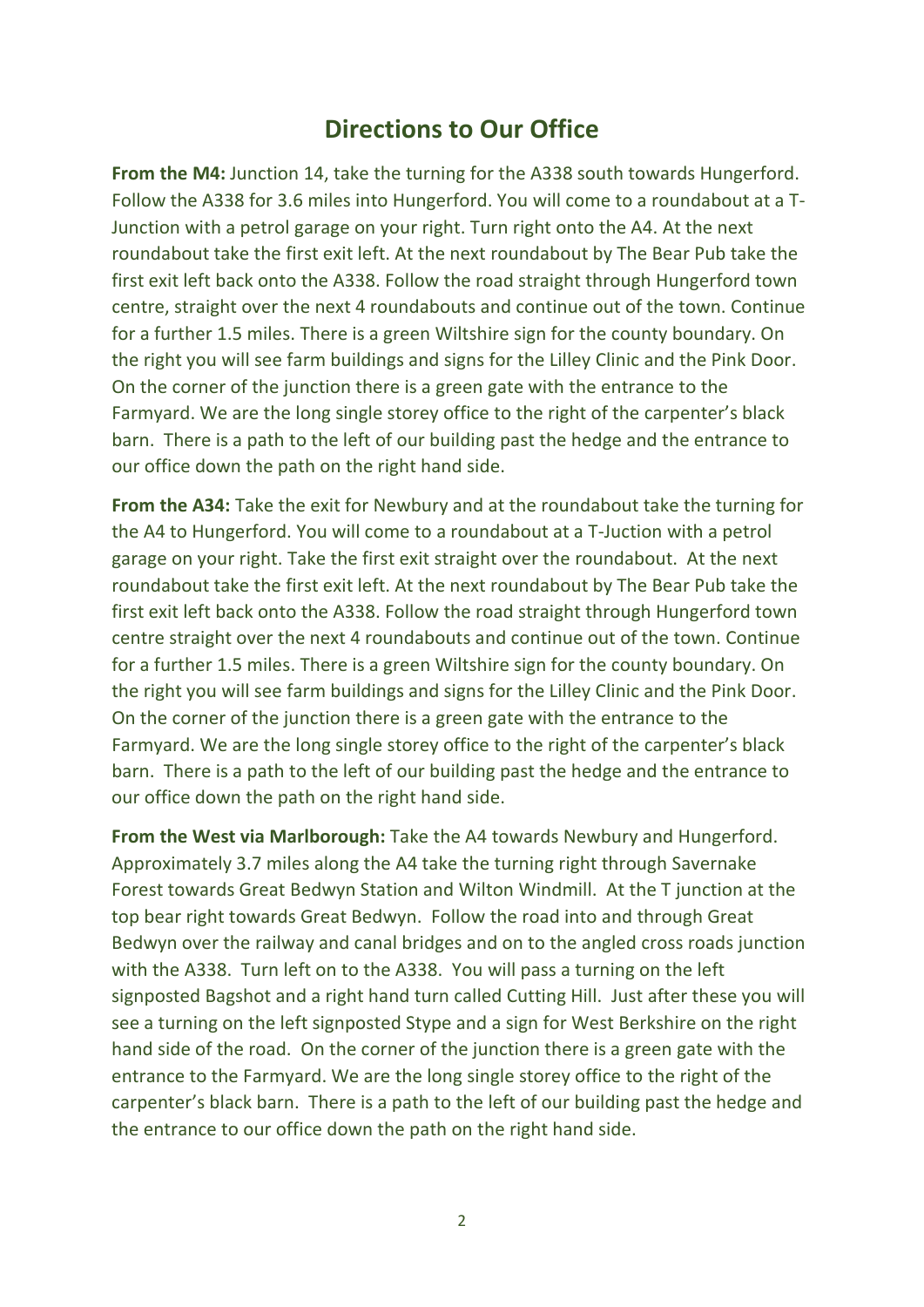## **Directions to Our Office**

**From the M4:** Junction 14, take the turning for the A338 south towards Hungerford. Follow the A338 for 3.6 miles into Hungerford. You will come to a roundabout at a T-Junction with a petrol garage on your right. Turn right onto the A4. At the next roundabout take the first exit left. At the next roundabout by The Bear Pub take the first exit left back onto the A338. Follow the road straight through Hungerford town centre, straight over the next 4 roundabouts and continue out of the town. Continue for a further 1.5 miles. There is a green Wiltshire sign for the county boundary. On the right you will see farm buildings and signs for the Lilley Clinic and the Pink Door. On the corner of the junction there is a green gate with the entrance to the Farmyard. We are the long single storey office to the right of the carpenter's black barn. There is a path to the left of our building past the hedge and the entrance to our office down the path on the right hand side.

**From the A34:** Take the exit for Newbury and at the roundabout take the turning for the A4 to Hungerford. You will come to a roundabout at a T-Juction with a petrol garage on your right. Take the first exit straight over the roundabout. At the next roundabout take the first exit left. At the next roundabout by The Bear Pub take the first exit left back onto the A338. Follow the road straight through Hungerford town centre straight over the next 4 roundabouts and continue out of the town. Continue for a further 1.5 miles. There is a green Wiltshire sign for the county boundary. On the right you will see farm buildings and signs for the Lilley Clinic and the Pink Door. On the corner of the junction there is a green gate with the entrance to the Farmyard. We are the long single storey office to the right of the carpenter's black barn. There is a path to the left of our building past the hedge and the entrance to our office down the path on the right hand side.

**From the West via Marlborough:** Take the A4 towards Newbury and Hungerford. Approximately 3.7 miles along the A4 take the turning right through Savernake Forest towards Great Bedwyn Station and Wilton Windmill. At the T junction at the top bear right towards Great Bedwyn. Follow the road into and through Great Bedwyn over the railway and canal bridges and on to the angled cross roads junction with the A338. Turn left on to the A338. You will pass a turning on the left signposted Bagshot and a right hand turn called Cutting Hill. Just after these you will see a turning on the left signposted Stype and a sign for West Berkshire on the right hand side of the road. On the corner of the junction there is a green gate with the entrance to the Farmyard. We are the long single storey office to the right of the carpenter's black barn. There is a path to the left of our building past the hedge and the entrance to our office down the path on the right hand side.